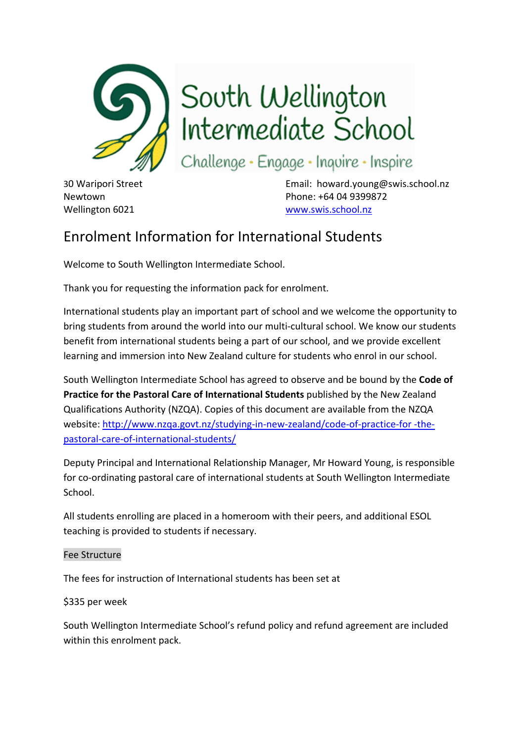

South Wellington<br>Intermediate School

Challenge · Engage · Inquire · Inspire

30 Waripori Street Email: howard.young@swis.school.nz Newtown Phone: +64 04 9399872 Wellington 6021 www.swis.school.nz

# Enrolment Information for International Students

Welcome to South Wellington Intermediate School.

Thank you for requesting the information pack for enrolment.

International students play an important part of school and we welcome the opportunity to bring students from around the world into our multi‐cultural school. We know our students benefit from international students being a part of our school, and we provide excellent learning and immersion into New Zealand culture for students who enrol in our school.

South Wellington Intermediate School has agreed to observe and be bound by the **Code of Practice for the Pastoral Care of International Students** published by the New Zealand Qualifications Authority (NZQA). Copies of this document are available from the NZQA website: http://www.nzqa.govt.nz/studying-in-new-zealand/code-of-practice-for -thepastoral‐care‐of‐international‐students/

Deputy Principal and International Relationship Manager, Mr Howard Young, is responsible for co-ordinating pastoral care of international students at South Wellington Intermediate School.

All students enrolling are placed in a homeroom with their peers, and additional ESOL teaching is provided to students if necessary.

## Fee Structure

The fees for instruction of International students has been set at

## \$335 per week

South Wellington Intermediate School's refund policy and refund agreement are included within this enrolment pack.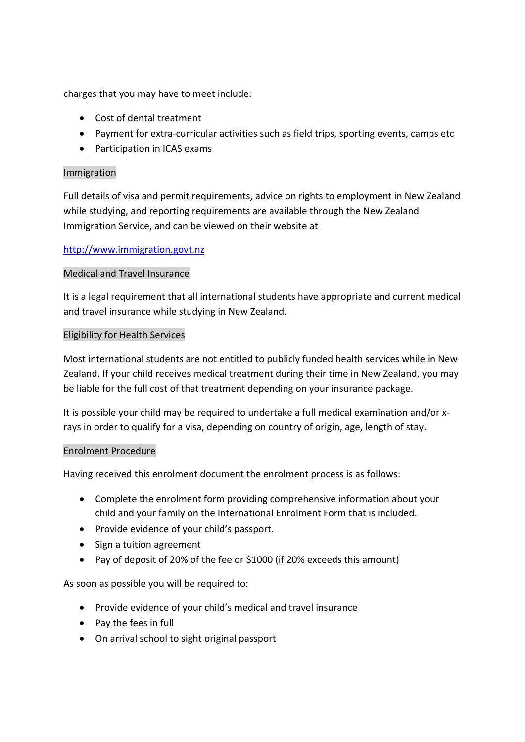charges that you may have to meet include:

- Cost of dental treatment
- Payment for extra-curricular activities such as field trips, sporting events, camps etc
- Participation in ICAS exams

## Immigration

Full details of visa and permit requirements, advice on rights to employment in New Zealand while studying, and reporting requirements are available through the New Zealand Immigration Service, and can be viewed on their website at

## http://www.immigration.govt.nz

## Medical and Travel Insurance

It is a legal requirement that all international students have appropriate and current medical and travel insurance while studying in New Zealand.

## Eligibility for Health Services

Most international students are not entitled to publicly funded health services while in New Zealand. If your child receives medical treatment during their time in New Zealand, you may be liable for the full cost of that treatment depending on your insurance package.

It is possible your child may be required to undertake a full medical examination and/or x‐ rays in order to qualify for a visa, depending on country of origin, age, length of stay.

### Enrolment Procedure

Having received this enrolment document the enrolment process is as follows:

- Complete the enrolment form providing comprehensive information about your child and your family on the International Enrolment Form that is included.
- Provide evidence of your child's passport.
- Sign a tuition agreement
- Pay of deposit of 20% of the fee or \$1000 (if 20% exceeds this amount)

As soon as possible you will be required to:

- Provide evidence of your child's medical and travel insurance
- Pay the fees in full
- On arrival school to sight original passport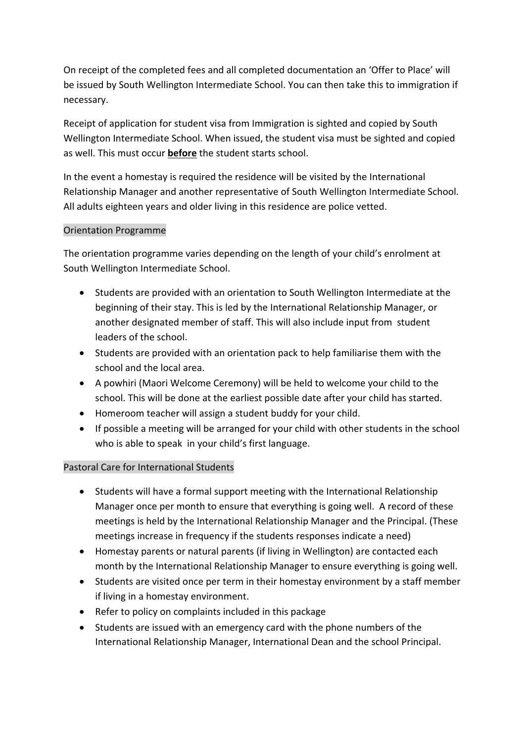On receipt of the completed fees and all completed documentation an 'Offer to Place' will be issued by South Wellington Intermediate School. You can then take this to immigration if necessary.

Receipt of application for student visa from Immigration is sighted and copied by South Wellington Intermediate School. When issued, the student visa must be sighted and copied as well. This must occur **before** the student starts school.

In the event a homestay is required the residence will be visited by the International Relationship Manager and another representative of South Wellington Intermediate School. All adults eighteen years and older living in this residence are police vetted.

## Orientation Programme

The orientation programme varies depending on the length of your child's enrolment at South Wellington Intermediate School.

- Students are provided with an orientation to South Wellington Intermediate at the beginning of their stay. This is led by the International Relationship Manager, or another designated member of staff. This will also include input from student leaders of the school.
- Students are provided with an orientation pack to help familiarise them with the school and the local area.
- A powhiri (Maori Welcome Ceremony) will be held to welcome your child to the school. This will be done at the earliest possible date after your child has started.
- Homeroom teacher will assign a student buddy for your child.
- If possible a meeting will be arranged for your child with other students in the school who is able to speak in your child's first language.

## Pastoral Care for International Students

- Students will have a formal support meeting with the International Relationship Manager once per month to ensure that everything is going well. A record of these meetings is held by the International Relationship Manager and the Principal. (These meetings increase in frequency if the students responses indicate a need)
- Homestay parents or natural parents (if living in Wellington) are contacted each month by the International Relationship Manager to ensure everything is going well.
- Students are visited once per term in their homestay environment by a staff member if living in a homestay environment.
- Refer to policy on complaints included in this package
- Students are issued with an emergency card with the phone numbers of the International Relationship Manager, International Dean and the school Principal.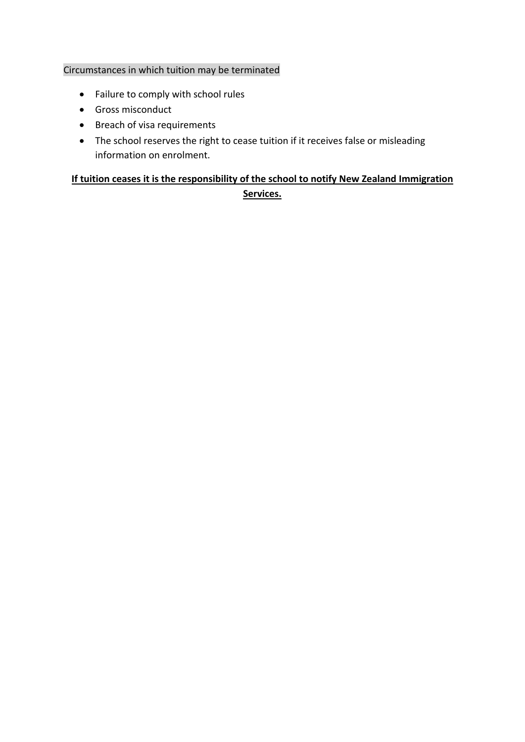## Circumstances in which tuition may be terminated

- Failure to comply with school rules
- Gross misconduct
- Breach of visa requirements
- The school reserves the right to cease tuition if it receives false or misleading information on enrolment.

## **If tuition ceases it is the responsibility of the school to notify New Zealand Immigration Services.**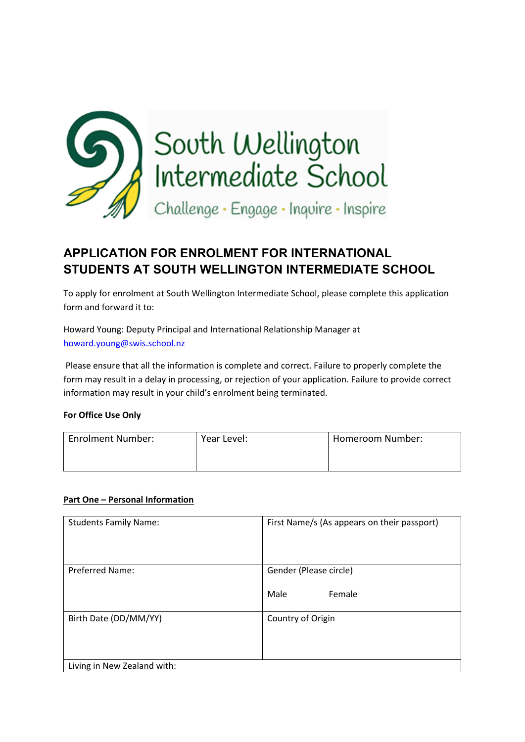

## **APPLICATION FOR ENROLMENT FOR INTERNATIONAL STUDENTS AT SOUTH WELLINGTON INTERMEDIATE SCHOOL**

To apply for enrolment at South Wellington Intermediate School, please complete this application form and forward it to:

Howard Young: Deputy Principal and International Relationship Manager at howard.young@swis.school.nz

 Please ensure that all the information is complete and correct. Failure to properly complete the form may result in a delay in processing, or rejection of your application. Failure to provide correct information may result in your child's enrolment being terminated.

### **For Office Use Only**

| Enrolment Number: | Year Level: | Homeroom Number: |
|-------------------|-------------|------------------|
|                   |             |                  |

### **Part One – Personal Information**

| <b>Students Family Name:</b>                         | First Name/s (As appears on their passport) |
|------------------------------------------------------|---------------------------------------------|
| <b>Preferred Name:</b>                               | Gender (Please circle)<br>Male<br>Female    |
| Birth Date (DD/MM/YY)<br>Living in New Zealand with: | Country of Origin                           |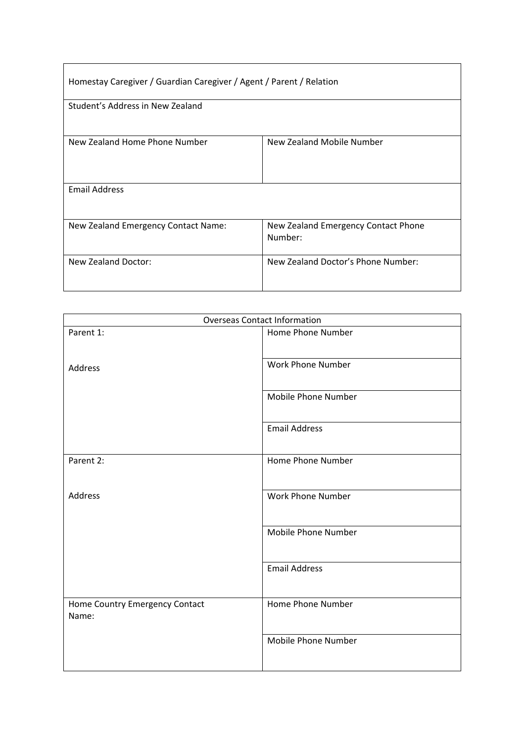| Homestay Caregiver / Guardian Caregiver / Agent / Parent / Relation |                                                |  |
|---------------------------------------------------------------------|------------------------------------------------|--|
| Student's Address in New Zealand                                    |                                                |  |
| New Zealand Home Phone Number                                       | New Zealand Mobile Number                      |  |
| <b>Email Address</b>                                                |                                                |  |
| New Zealand Emergency Contact Name:                                 | New Zealand Emergency Contact Phone<br>Number: |  |
| New Zealand Doctor:                                                 | New Zealand Doctor's Phone Number:             |  |

| <b>Overseas Contact Information</b>     |                      |  |
|-----------------------------------------|----------------------|--|
| Parent 1:                               | Home Phone Number    |  |
| Address                                 | Work Phone Number    |  |
|                                         | Mobile Phone Number  |  |
|                                         | <b>Email Address</b> |  |
| Parent 2:                               | Home Phone Number    |  |
| Address                                 | Work Phone Number    |  |
|                                         | Mobile Phone Number  |  |
|                                         | <b>Email Address</b> |  |
| Home Country Emergency Contact<br>Name: | Home Phone Number    |  |
|                                         | Mobile Phone Number  |  |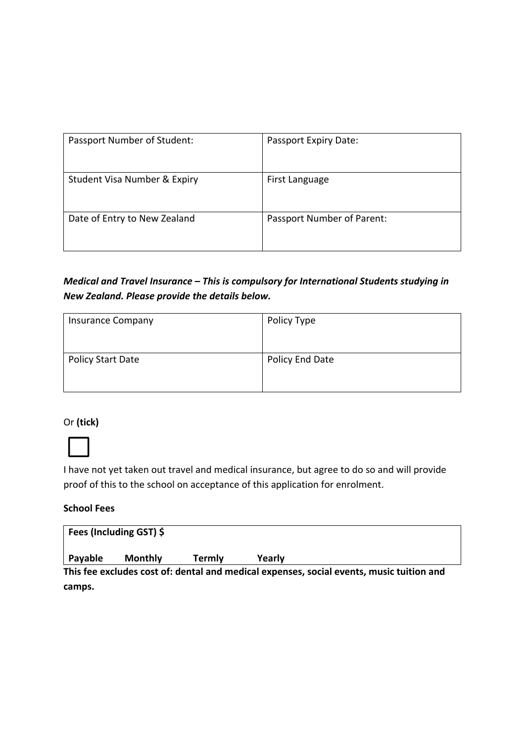| Passport Number of Student:  | Passport Expiry Date:      |
|------------------------------|----------------------------|
| Student Visa Number & Expiry | First Language             |
| Date of Entry to New Zealand | Passport Number of Parent: |

*Medical and Travel Insurance – This is compulsory for International Students studying in New Zealand. Please provide the details below.* 

| <b>Insurance Company</b> | Policy Type     |
|--------------------------|-----------------|
|                          |                 |
| Policy Start Date        | Policy End Date |
|                          |                 |

## Or **(tick)**



I have not yet taken out travel and medical insurance, but agree to do so and will provide proof of this to the school on acceptance of this application for enrolment.

## **School Fees**

|         | Fees (Including GST) \$ |        |                                                                                          |
|---------|-------------------------|--------|------------------------------------------------------------------------------------------|
| Payable | <b>Monthly</b>          | Termlv | Yearly                                                                                   |
|         |                         |        | This fee excludes cost of: dental and medical expenses, social events, music tuition and |
| camps.  |                         |        |                                                                                          |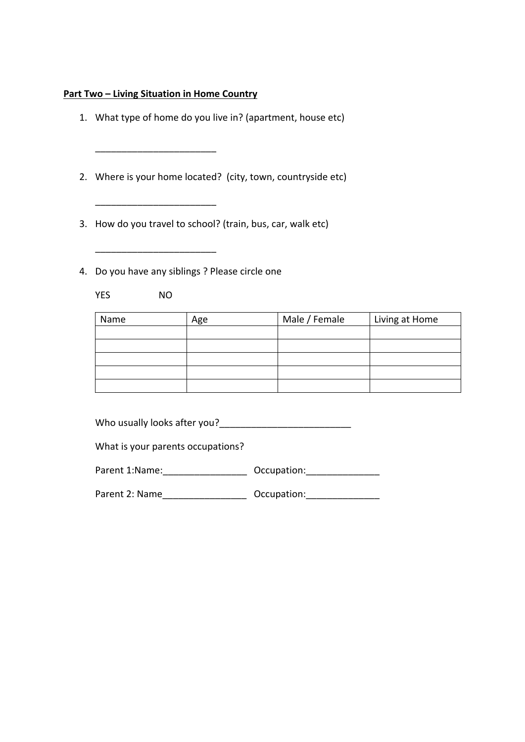#### **Part Two – Living Situation in Home Country**

\_\_\_\_\_\_\_\_\_\_\_\_\_\_\_\_\_\_\_\_\_\_\_

\_\_\_\_\_\_\_\_\_\_\_\_\_\_\_\_\_\_\_\_\_\_\_

- 1. What type of home do you live in? (apartment, house etc)
- 2. Where is your home located? (city, town, countryside etc)
- 3. How do you travel to school? (train, bus, car, walk etc)
- 4. Do you have any siblings ? Please circle one

 $\mathcal{L}=\frac{1}{2}\left[\frac{1}{2}\sum_{i=1}^{n} \frac{1}{2}\left(\frac{1}{2}\sum_{i=1}^{n} \frac{1}{2}\right)\right]$ 

YES NO

| Name | Age | Male / Female | Living at Home |
|------|-----|---------------|----------------|
|      |     |               |                |
|      |     |               |                |
|      |     |               |                |
|      |     |               |                |
|      |     |               |                |

Who usually looks after you?\_\_\_\_\_\_\_\_\_\_\_\_\_\_\_\_\_\_\_\_\_\_\_\_\_

What is your parents occupations?

| Parent 1:Name: | Occupation: |
|----------------|-------------|
|----------------|-------------|

Parent 2: Name\_\_\_\_\_\_\_\_\_\_\_\_\_\_\_\_ Occupation:\_\_\_\_\_\_\_\_\_\_\_\_\_\_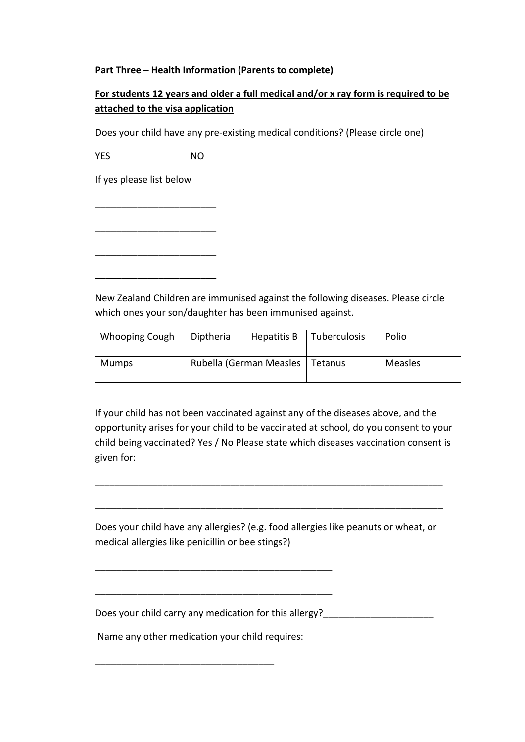## **Part Three – Health Information (Parents to complete)**

## **For students 12 years and older a full medical and/or x ray form is required to be attached to the visa application**

Does your child have any pre‐existing medical conditions? (Please circle one)

YES NO

\_\_\_\_\_\_\_\_\_\_\_\_\_\_\_\_\_\_\_\_\_\_\_

\_\_\_\_\_\_\_\_\_\_\_\_\_\_\_\_\_\_\_\_\_\_\_

\_\_\_\_\_\_\_\_\_\_\_\_\_\_\_\_\_\_\_\_\_\_\_

**\_\_\_\_\_\_\_\_\_\_\_\_\_\_\_\_\_\_\_\_\_\_\_** 

If yes please list below

New Zealand Children are immunised against the following diseases. Please circle which ones your son/daughter has been immunised against.

| <b>Whooping Cough</b> | Diptheria | Hepatitis B                       | Tuberculosis | Polio   |
|-----------------------|-----------|-----------------------------------|--------------|---------|
| Mumps                 |           | Rubella (German Measles   Tetanus |              | Measles |

If your child has not been vaccinated against any of the diseases above, and the opportunity arises for your child to be vaccinated at school, do you consent to your child being vaccinated? Yes / No Please state which diseases vaccination consent is given for:

Does your child have any allergies? (e.g. food allergies like peanuts or wheat, or medical allergies like penicillin or bee stings?)

\_\_\_\_\_\_\_\_\_\_\_\_\_\_\_\_\_\_\_\_\_\_\_\_\_\_\_\_\_\_\_\_\_\_\_\_\_\_\_\_\_\_\_\_\_\_\_\_\_\_\_\_\_\_\_\_\_\_\_\_\_\_\_\_\_\_\_\_\_\_\_\_

\_\_\_\_\_\_\_\_\_\_\_\_\_\_\_\_\_\_\_\_\_\_\_\_\_\_\_\_\_\_\_\_\_\_\_\_\_\_\_\_\_\_\_\_\_\_\_\_\_\_\_\_\_\_\_\_\_\_\_\_\_\_\_\_\_\_

\_\_\_\_\_\_\_\_\_\_\_\_\_\_\_\_\_\_\_\_\_\_\_\_\_\_\_\_\_\_\_\_\_\_\_\_\_\_\_\_\_\_\_\_\_

\_\_\_\_\_\_\_\_\_\_\_\_\_\_\_\_\_\_\_\_\_\_\_\_\_\_\_\_\_\_\_\_\_\_\_\_\_\_\_\_\_\_\_\_\_

Does your child carry any medication for this allergy?

Name any other medication your child requires:

\_\_\_\_\_\_\_\_\_\_\_\_\_\_\_\_\_\_\_\_\_\_\_\_\_\_\_\_\_\_\_\_\_\_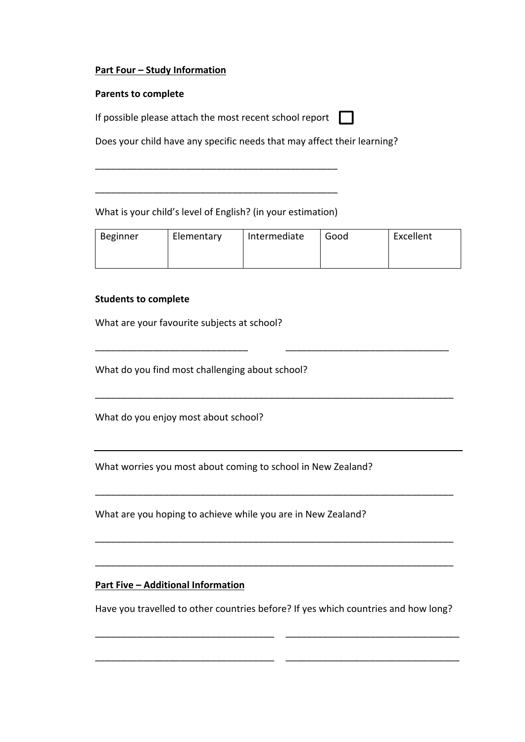## **Part Four – Study Information**

#### **Parents to complete**

If possible please attach the most recent school report

Does your child have any specific needs that may affect their learning?

What is your child's level of English? (in your estimation)

\_\_\_\_\_\_\_\_\_\_\_\_\_\_\_\_\_\_\_\_\_\_\_\_\_\_\_\_\_\_\_\_\_\_\_\_\_\_\_\_\_\_\_\_\_\_

\_\_\_\_\_\_\_\_\_\_\_\_\_\_\_\_\_\_\_\_\_\_\_\_\_\_\_\_\_\_\_\_\_\_\_\_\_\_\_\_\_\_\_\_\_\_

| Beginner | Elementary | Intermediate | Good | Excellent |
|----------|------------|--------------|------|-----------|
|          |            |              |      |           |
|          |            |              |      |           |

 $\Box$ 

\_\_\_\_\_\_\_\_\_\_\_\_\_\_\_\_\_\_\_\_\_\_\_\_\_\_\_\_\_ \_\_\_\_\_\_\_\_\_\_\_\_\_\_\_\_\_\_\_\_\_\_\_\_\_\_\_\_\_\_\_

\_\_\_\_\_\_\_\_\_\_\_\_\_\_\_\_\_\_\_\_\_\_\_\_\_\_\_\_\_\_\_\_\_\_\_\_\_\_\_\_\_\_\_\_\_\_\_\_\_\_\_\_\_\_\_\_\_\_\_\_\_\_\_\_\_\_\_\_

\_\_\_\_\_\_\_\_\_\_\_\_\_\_\_\_\_\_\_\_\_\_\_\_\_\_\_\_\_\_\_\_\_\_\_\_\_\_\_\_\_\_\_\_\_\_\_\_\_\_\_\_\_\_\_\_\_\_\_\_\_\_\_\_\_\_\_\_

\_\_\_\_\_\_\_\_\_\_\_\_\_\_\_\_\_\_\_\_\_\_\_\_\_\_\_\_\_\_\_\_\_\_\_\_\_\_\_\_\_\_\_\_\_\_\_\_\_\_\_\_\_\_\_\_\_\_\_\_\_\_\_\_\_\_\_\_

\_\_\_\_\_\_\_\_\_\_\_\_\_\_\_\_\_\_\_\_\_\_\_\_\_\_\_\_\_\_\_\_\_\_\_\_\_\_\_\_\_\_\_\_\_\_\_\_\_\_\_\_\_\_\_\_\_\_\_\_\_\_\_\_\_\_\_\_

#### **Students to complete**

What are your favourite subjects at school?

What do you find most challenging about school?

What do you enjoy most about school?

What worries you most about coming to school in New Zealand?

What are you hoping to achieve while you are in New Zealand?

## **Part Five – Additional Information**

Have you travelled to other countries before? If yes which countries and how long?

\_\_\_\_\_\_\_\_\_\_\_\_\_\_\_\_\_\_\_\_\_\_\_\_\_\_\_\_\_\_\_\_\_\_ \_\_\_\_\_\_\_\_\_\_\_\_\_\_\_\_\_\_\_\_\_\_\_\_\_\_\_\_\_\_\_\_\_

\_\_\_\_\_\_\_\_\_\_\_\_\_\_\_\_\_\_\_\_\_\_\_\_\_\_\_\_\_\_\_\_\_\_ \_\_\_\_\_\_\_\_\_\_\_\_\_\_\_\_\_\_\_\_\_\_\_\_\_\_\_\_\_\_\_\_\_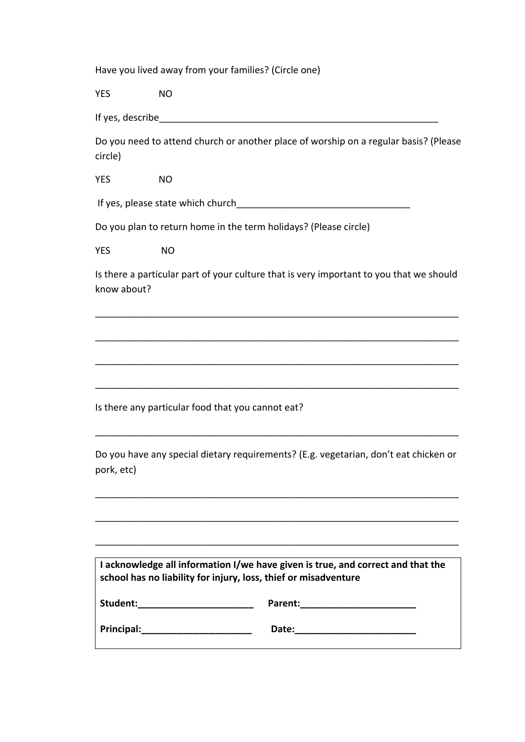Have you lived away from your families? (Circle one)

YES NO

If yes, describe  $\blacksquare$ 

Do you need to attend church or another place of worship on a regular basis? (Please circle)

YES NO

If yes, please state which church\_\_\_\_\_\_\_\_\_\_\_\_\_\_\_\_\_\_\_\_\_\_\_\_\_\_\_\_\_\_\_\_\_

Do you plan to return home in the term holidays? (Please circle)

YES NO

Is there a particular part of your culture that is very important to you that we should know about?

\_\_\_\_\_\_\_\_\_\_\_\_\_\_\_\_\_\_\_\_\_\_\_\_\_\_\_\_\_\_\_\_\_\_\_\_\_\_\_\_\_\_\_\_\_\_\_\_\_\_\_\_\_\_\_\_\_\_\_\_\_\_\_\_\_\_\_\_\_

\_\_\_\_\_\_\_\_\_\_\_\_\_\_\_\_\_\_\_\_\_\_\_\_\_\_\_\_\_\_\_\_\_\_\_\_\_\_\_\_\_\_\_\_\_\_\_\_\_\_\_\_\_\_\_\_\_\_\_\_\_\_\_\_\_\_\_\_\_

\_\_\_\_\_\_\_\_\_\_\_\_\_\_\_\_\_\_\_\_\_\_\_\_\_\_\_\_\_\_\_\_\_\_\_\_\_\_\_\_\_\_\_\_\_\_\_\_\_\_\_\_\_\_\_\_\_\_\_\_\_\_\_\_\_\_\_\_\_

\_\_\_\_\_\_\_\_\_\_\_\_\_\_\_\_\_\_\_\_\_\_\_\_\_\_\_\_\_\_\_\_\_\_\_\_\_\_\_\_\_\_\_\_\_\_\_\_\_\_\_\_\_\_\_\_\_\_\_\_\_\_\_\_\_\_\_\_\_

Is there any particular food that you cannot eat?

Do you have any special dietary requirements? (E.g. vegetarian, don't eat chicken or pork, etc)

\_\_\_\_\_\_\_\_\_\_\_\_\_\_\_\_\_\_\_\_\_\_\_\_\_\_\_\_\_\_\_\_\_\_\_\_\_\_\_\_\_\_\_\_\_\_\_\_\_\_\_\_\_\_\_\_\_\_\_\_\_\_\_\_\_\_\_\_\_

\_\_\_\_\_\_\_\_\_\_\_\_\_\_\_\_\_\_\_\_\_\_\_\_\_\_\_\_\_\_\_\_\_\_\_\_\_\_\_\_\_\_\_\_\_\_\_\_\_\_\_\_\_\_\_\_\_\_\_\_\_\_\_\_\_\_\_\_\_

\_\_\_\_\_\_\_\_\_\_\_\_\_\_\_\_\_\_\_\_\_\_\_\_\_\_\_\_\_\_\_\_\_\_\_\_\_\_\_\_\_\_\_\_\_\_\_\_\_\_\_\_\_\_\_\_\_\_\_\_\_\_\_\_\_\_\_\_\_

\_\_\_\_\_\_\_\_\_\_\_\_\_\_\_\_\_\_\_\_\_\_\_\_\_\_\_\_\_\_\_\_\_\_\_\_\_\_\_\_\_\_\_\_\_\_\_\_\_\_\_\_\_\_\_\_\_\_\_\_\_\_\_\_\_\_\_\_\_

| I acknowledge all information I/we have given is true, and correct and that the<br>school has no liability for injury, loss, thief or misadventure |         |  |
|----------------------------------------------------------------------------------------------------------------------------------------------------|---------|--|
| Student:                                                                                                                                           | Parent: |  |
| Principal:                                                                                                                                         | Date:   |  |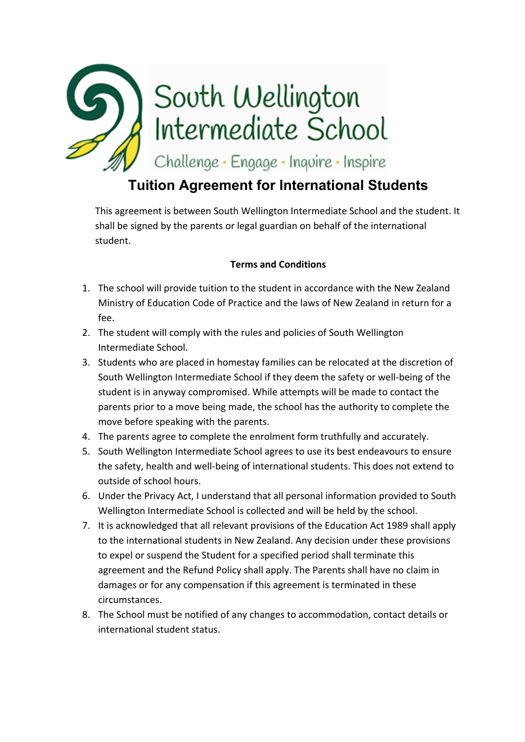

# **Tuition Agreement for International Students**

This agreement is between South Wellington Intermediate School and the student. It shall be signed by the parents or legal guardian on behalf of the international student.

## **Terms and Conditions**

- 1. The school will provide tuition to the student in accordance with the New Zealand Ministry of Education Code of Practice and the laws of New Zealand in return for a fee.
- 2. The student will comply with the rules and policies of South Wellington Intermediate School.
- 3. Students who are placed in homestay families can be relocated at the discretion of South Wellington Intermediate School if they deem the safety or well‐being of the student is in anyway compromised. While attempts will be made to contact the parents prior to a move being made, the school has the authority to complete the move before speaking with the parents.
- 4. The parents agree to complete the enrolment form truthfully and accurately.
- 5. South Wellington Intermediate School agrees to use its best endeavours to ensure the safety, health and well‐being of international students. This does not extend to outside of school hours.
- 6. Under the Privacy Act, I understand that all personal information provided to South Wellington Intermediate School is collected and will be held by the school.
- 7. It is acknowledged that all relevant provisions of the Education Act 1989 shall apply to the international students in New Zealand. Any decision under these provisions to expel or suspend the Student for a specified period shall terminate this agreement and the Refund Policy shall apply. The Parents shall have no claim in damages or for any compensation if this agreement is terminated in these circumstances.
- 8. The School must be notified of any changes to accommodation, contact details or international student status.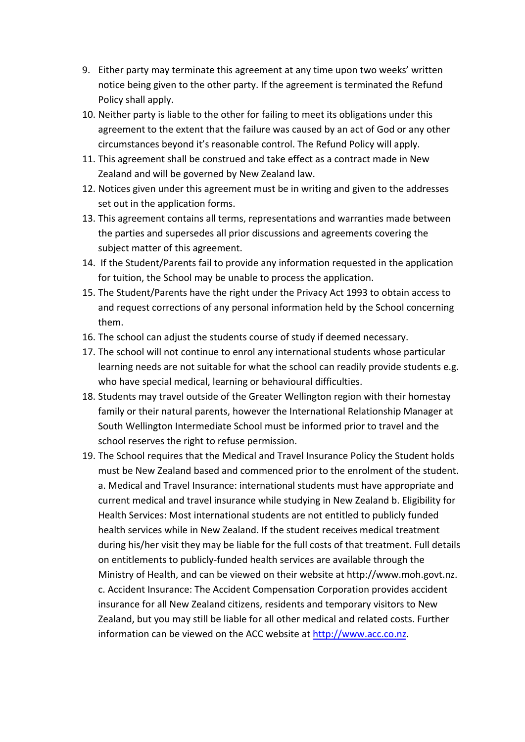- 9. Either party may terminate this agreement at any time upon two weeks' written notice being given to the other party. If the agreement is terminated the Refund Policy shall apply.
- 10. Neither party is liable to the other for failing to meet its obligations under this agreement to the extent that the failure was caused by an act of God or any other circumstances beyond it's reasonable control. The Refund Policy will apply.
- 11. This agreement shall be construed and take effect as a contract made in New Zealand and will be governed by New Zealand law.
- 12. Notices given under this agreement must be in writing and given to the addresses set out in the application forms.
- 13. This agreement contains all terms, representations and warranties made between the parties and supersedes all prior discussions and agreements covering the subject matter of this agreement.
- 14. If the Student/Parents fail to provide any information requested in the application for tuition, the School may be unable to process the application.
- 15. The Student/Parents have the right under the Privacy Act 1993 to obtain access to and request corrections of any personal information held by the School concerning them.
- 16. The school can adjust the students course of study if deemed necessary.
- 17. The school will not continue to enrol any international students whose particular learning needs are not suitable for what the school can readily provide students e.g. who have special medical, learning or behavioural difficulties.
- 18. Students may travel outside of the Greater Wellington region with their homestay family or their natural parents, however the International Relationship Manager at South Wellington Intermediate School must be informed prior to travel and the school reserves the right to refuse permission.
- 19. The School requires that the Medical and Travel Insurance Policy the Student holds must be New Zealand based and commenced prior to the enrolment of the student. a. Medical and Travel Insurance: international students must have appropriate and current medical and travel insurance while studying in New Zealand b. Eligibility for Health Services: Most international students are not entitled to publicly funded health services while in New Zealand. If the student receives medical treatment during his/her visit they may be liable for the full costs of that treatment. Full details on entitlements to publicly‐funded health services are available through the Ministry of Health, and can be viewed on their website at http://www.moh.govt.nz. c. Accident Insurance: The Accident Compensation Corporation provides accident insurance for all New Zealand citizens, residents and temporary visitors to New Zealand, but you may still be liable for all other medical and related costs. Further information can be viewed on the ACC website at http://www.acc.co.nz.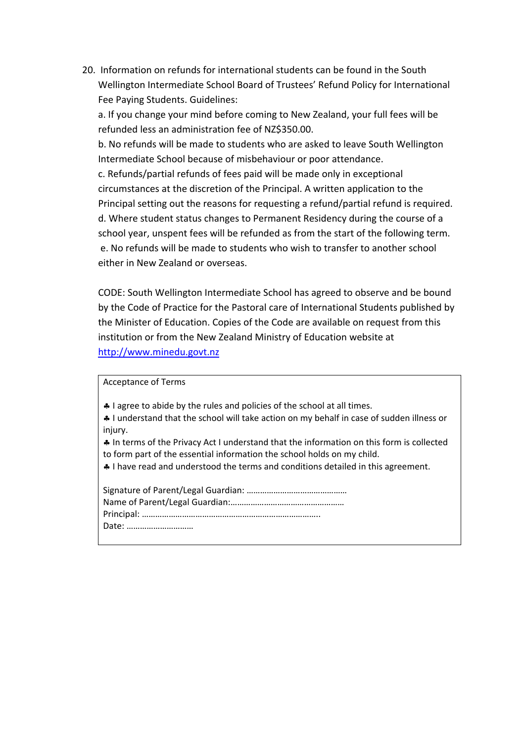20. Information on refunds for international students can be found in the South Wellington Intermediate School Board of Trustees' Refund Policy for International Fee Paying Students. Guidelines:

a. If you change your mind before coming to New Zealand, your full fees will be refunded less an administration fee of NZ\$350.00.

b. No refunds will be made to students who are asked to leave South Wellington Intermediate School because of misbehaviour or poor attendance.

c. Refunds/partial refunds of fees paid will be made only in exceptional circumstances at the discretion of the Principal. A written application to the Principal setting out the reasons for requesting a refund/partial refund is required. d. Where student status changes to Permanent Residency during the course of a school year, unspent fees will be refunded as from the start of the following term. e. No refunds will be made to students who wish to transfer to another school either in New Zealand or overseas.

CODE: South Wellington Intermediate School has agreed to observe and be bound by the Code of Practice for the Pastoral care of International Students published by the Minister of Education. Copies of the Code are available on request from this institution or from the New Zealand Ministry of Education website at http://www.minedu.govt.nz

Acceptance of Terms

4 I agree to abide by the rules and policies of the school at all times.

 I understand that the school will take action on my behalf in case of sudden illness or injury.

 In terms of the Privacy Act I understand that the information on this form is collected to form part of the essential information the school holds on my child.

I have read and understood the terms and conditions detailed in this agreement.

Signature of Parent/Legal Guardian: ……………………………………… Name of Parent/Legal Guardian:…………………………………………… Principal: …………………………………………………………………….. Date: …………………………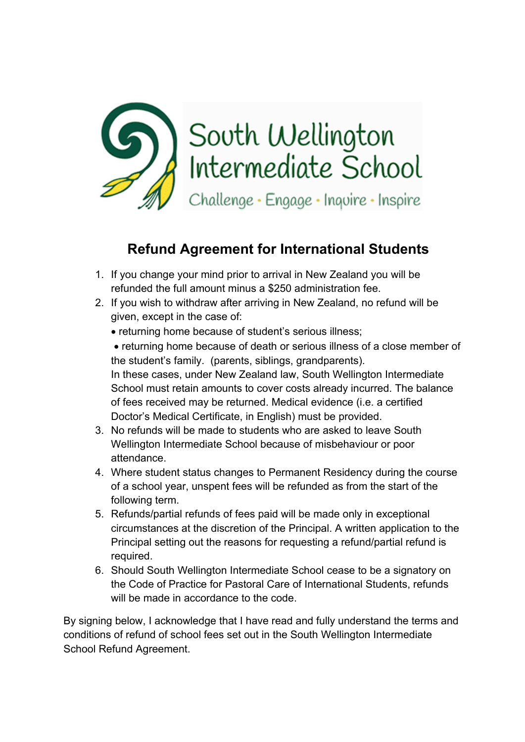

## **Refund Agreement for International Students**

- 1. If you change your mind prior to arrival in New Zealand you will be refunded the full amount minus a \$250 administration fee.
- 2. If you wish to withdraw after arriving in New Zealand, no refund will be given, except in the case of:
	- returning home because of student's serious illness;

 returning home because of death or serious illness of a close member of the student's family. (parents, siblings, grandparents). In these cases, under New Zealand law, South Wellington Intermediate School must retain amounts to cover costs already incurred. The balance of fees received may be returned. Medical evidence (i.e. a certified Doctor's Medical Certificate, in English) must be provided.

- 3. No refunds will be made to students who are asked to leave South Wellington Intermediate School because of misbehaviour or poor attendance.
- 4. Where student status changes to Permanent Residency during the course of a school year, unspent fees will be refunded as from the start of the following term.
- 5. Refunds/partial refunds of fees paid will be made only in exceptional circumstances at the discretion of the Principal. A written application to the Principal setting out the reasons for requesting a refund/partial refund is required.
- 6. Should South Wellington Intermediate School cease to be a signatory on the Code of Practice for Pastoral Care of International Students, refunds will be made in accordance to the code.

By signing below, I acknowledge that I have read and fully understand the terms and conditions of refund of school fees set out in the South Wellington Intermediate School Refund Agreement.